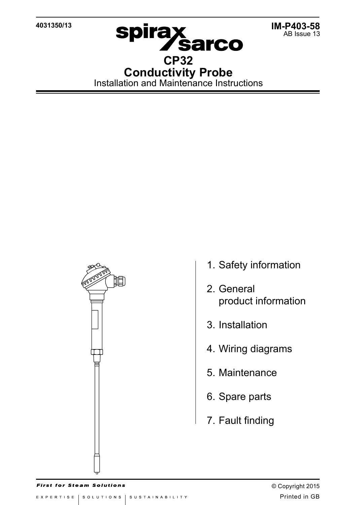**4031350/13**



**Spirax<br>CP32 Conductivity Probe** Installation and Maintenance Instructions

眴

- 1. Safety information
- 2. General product information
- 3. Installation
- 4. Wiring diagrams
- 5. Maintenance
- 6. Spare parts
- 7. Fault finding

**First for Steam Solutions**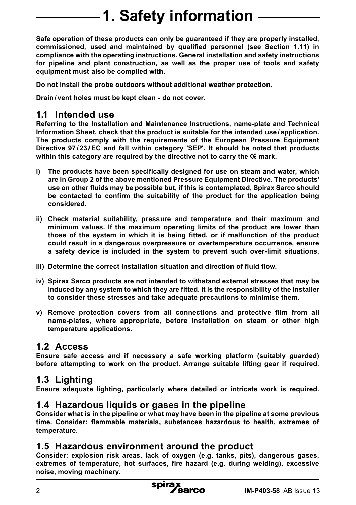# **1. Safety information**

**Safe operation of these products can only be guaranteed if they are properly installed, commissioned, used and maintained by qualified personnel (see Section 1.11) in compliance with the operating instructions. General installation and safety instructions for pipeline and plant construction, as well as the proper use of tools and safety equipment must also be complied with.**

**Do not install the probe outdoors without additional weather protection.**

**Drain/ vent holes must be kept clean - do not cover.**

#### **1.1 Intended use**

**Referring to the Installation and Maintenance Instructions, name-plate and Technical Information Sheet, check that the product is suitable for the intended use / application. The products comply with the requirements of the European Pressure Equipment Directive 97 / 23 /EC and fall within category 'SEP'. It should be noted that products** within this category are required by the directive not to carry the  $\epsilon$  mark.

- **i) The products have been specifically designed for use on steam and water, which are in Group 2 of the above mentioned Pressure Equipment Directive. The products' use on other fluids may be possible but, if this is contemplated, Spirax Sarco should be contacted to confirm the suitability of the product for the application being considered.**
- **ii) Check material suitability, pressure and temperature and their maximum and minimum values. If the maximum operating limits of the product are lower than those of the system in which it is being fitted, or if malfunction of the product could result in a dangerous overpressure or overtemperature occurrence, ensure a safety device is included in the system to prevent such over-limit situations.**
- **iii) Determine the correct installation situation and direction of fluid flow.**
- **iv) Spirax Sarco products are not intended to withstand external stresses that may be induced by any system to which they are fitted. It is the responsibility of the installer to consider these stresses and take adequate precautions to minimise them.**
- **v) Remove protection covers from all connections and protective film from all name-plates, where appropriate, before installation on steam or other high temperature applications.**

#### **1.2 Access**

**Ensure safe access and if necessary a safe working platform (suitably guarded) before attempting to work on the product. Arrange suitable lifting gear if required.**

### **1.3 Lighting**

**Ensure adequate lighting, particularly where detailed or intricate work is required.**

### **1.4 Hazardous liquids or gases in the pipeline**

**Consider what is in the pipeline or what may have been in the pipeline at some previous time. Consider: flammable materials, substances hazardous to health, extremes of temperature.**

#### **1.5 Hazardous environment around the product**

**Consider: explosion risk areas, lack of oxygen (e.g. tanks, pits), dangerous gases, extremes of temperature, hot surfaces, fire hazard (e.g. during welding), excessive noise, moving machinery.**

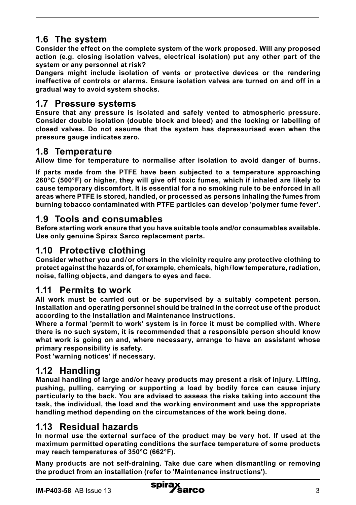# **1.6 The system**

**Consider the effect on the complete system of the work proposed. Will any proposed action (e.g. closing isolation valves, electrical isolation) put any other part of the system or any personnel at risk?** 

**Dangers might include isolation of vents or protective devices or the rendering ineffective of controls or alarms. Ensure isolation valves are turned on and off in a gradual way to avoid system shocks.**

#### **1.7 Pressure systems**

**Ensure that any pressure is isolated and safely vented to atmospheric pressure. Consider double isolation (double block and bleed) and the locking or labelling of closed valves. Do not assume that the system has depressurised even when the pressure gauge indicates zero.**

### **1.8 Temperature**

**Allow time for temperature to normalise after isolation to avoid danger of burns.**

**If parts made from the PTFE have been subjected to a temperature approaching 260°C (500°F) or higher, they will give off toxic fumes, which if inhaled are likely to cause temporary discomfort. It is essential for a no smoking rule to be enforced in all areas where PTFE is stored, handled, or processed as persons inhaling the fumes from burning tobacco contaminated with PTFE particles can develop 'polymer fume fever'.**

### **1.9 Tools and consumables**

**Before starting work ensure that you have suitable tools and/or consumables available. Use only genuine Spirax Sarco replacement parts.**

### **1.10 Protective clothing**

**Consider whether you and/or others in the vicinity require any protective clothing to protect against the hazards of, for example, chemicals, high/low temperature, radiation, noise, falling objects, and dangers to eyes and face.**

### **1.11 Permits to work**

**All work must be carried out or be supervised by a suitably competent person. Installation and operating personnel should be trained in the correct use of the product according to the Installation and Maintenance Instructions.**

**Where a formal 'permit to work' system is in force it must be complied with. Where there is no such system, it is recommended that a responsible person should know what work is going on and, where necessary, arrange to have an assistant whose primary responsibility is safety.**

**Post 'warning notices' if necessary.**

# **1.12 Handling**

**Manual handling of large and/or heavy products may present a risk of injury. Lifting, pushing, pulling, carrying or supporting a load by bodily force can cause injury particularly to the back. You are advised to assess the risks taking into account the task, the individual, the load and the working environment and use the appropriate handling method depending on the circumstances of the work being done.**

# **1.13 Residual hazards**

**In normal use the external surface of the product may be very hot. If used at the maximum permitted operating conditions the surface temperature of some products may reach temperatures of 350°C (662°F).**

**Many products are not self-draining. Take due care when dismantling or removing the product from an installation (refer to 'Maintenance instructions').**

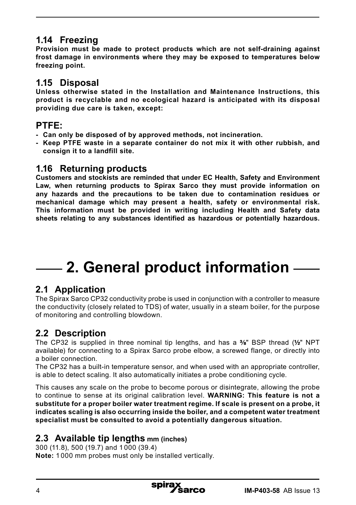## **1.14 Freezing**

**Provision must be made to protect products which are not self-draining against frost damage in environments where they may be exposed to temperatures below freezing point.**

#### **1.15 Disposal**

**Unless otherwise stated in the Installation and Maintenance Instructions, this product is recyclable and no ecological hazard is anticipated with its disposal providing due care is taken, except:**

#### **PTFE:**

- **- Can only be disposed of by approved methods, not incineration.**
- **- Keep PTFE waste in a separate container do not mix it with other rubbish, and consign it to a landfill site.**

#### **1.16 Returning products**

**Customers and stockists are reminded that under EC Health, Safety and Environment Law, when returning products to Spirax Sarco they must provide information on any hazards and the precautions to be taken due to contamination residues or mechanical damage which may present a health, safety or environmental risk. This information must be provided in writing including Health and Safety data sheets relating to any substances identified as hazardous or potentially hazardous.**

# **2. General product information**

# **2.1 Application**

The Spirax Sarco CP32 conductivity probe is used in conjunction with a controller to measure the conductivity (closely related to TDS) of water, usually in a steam boiler, for the purpose of monitoring and controlling blowdown.

# **2.2 Description**

The CP32 is supplied in three nominal tip lengths, and has a  $\frac{1}{8}$  BSP thread ( $\frac{1}{2}$  NPT available) for connecting to a Spirax Sarco probe elbow, a screwed flange, or directly into a boiler connection.

The CP32 has a built-in temperature sensor, and when used with an appropriate controller, is able to detect scaling. It also automatically initiates a probe conditioning cycle.

This causes any scale on the probe to become porous or disintegrate, allowing the probe to continue to sense at its original calibration level. **WARNING: This feature is not a substitute for a proper boiler water treatment regime. If scale is present on a probe, it indicates scaling is also occurring inside the boiler, and a competent water treatment specialist must be consulted to avoid a potentially dangerous situation.**

### **2.3 Available tip lengths mm (inches)**

300 (11.8), 500 (19.7) and 1 000 (39.4) **Note:** 1 000 mm probes must only be installed vertically.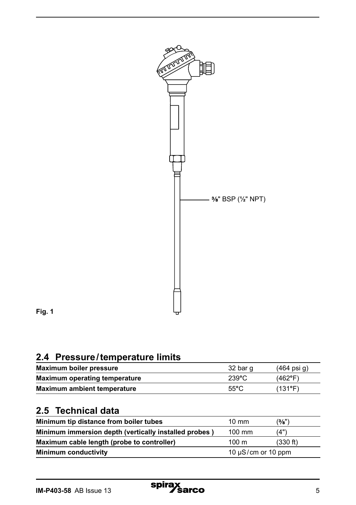

**Fig. 1**

# **2.4 Pressure/temperature limits**

| Maximum boiler pressure              | 32 bar q        | $(464 \text{ psi } q)$ |
|--------------------------------------|-----------------|------------------------|
| <b>Maximum operating temperature</b> | $239^{\circ}$ C | $(462^{\circ}F)$       |
| Maximum ambient temperature          | $55^{\circ}$ C  | $(131^{\circ}F)$       |

# **2.5 Technical data**

| Minimum tip distance from boiler tubes                | $10 \text{ mm}$         | (3/8")   |
|-------------------------------------------------------|-------------------------|----------|
| Minimum immersion depth (vertically installed probes) | 100 mm                  | (4"      |
| Maximum cable length (probe to controller)            | $100 \text{ m}$         | (330 ft) |
| <b>Minimum conductivity</b>                           | 10 $\mu$ S/cm or 10 ppm |          |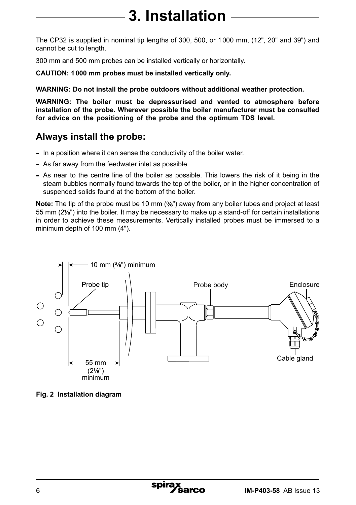# **3. Installation**

The CP32 is supplied in nominal tip lengths of 300, 500, or 1000 mm, (12", 20" and 39") and cannot be cut to length.

300 mm and 500 mm probes can be installed vertically or horizontally.

**CAUTION: 1000 mm probes must be installed vertically only.** 

**WARNING: Do not install the probe outdoors without additional weather protection.**

**WARNING: The boiler must be depressurised and vented to atmosphere before installation of the probe. Wherever possible the boiler manufacturer must be consulted for advice on the positioning of the probe and the optimum TDS level.**

# **Always install the probe:**

- **-** In a position where it can sense the conductivity of the boiler water.
- **-** As far away from the feedwater inlet as possible.
- **-** As near to the centre line of the boiler as possible. This lowers the risk of it being in the steam bubbles normally found towards the top of the boiler, or in the higher concentration of suspended solids found at the bottom of the boiler.

**Note:** The tip of the probe must be 10 mm ( $\frac{3}{8}$ ") away from any boiler tubes and project at least 55 mm (2%") into the boiler. It may be necessary to make up a stand-off for certain installations in order to achieve these measurements. Vertically installed probes must be immersed to a minimum depth of 100 mm (4").



**Fig. 2 Installation diagram**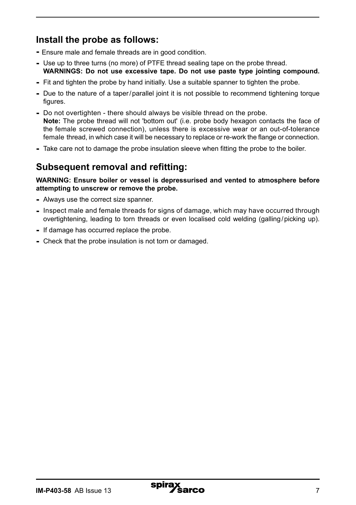# **Install the probe as follows:**

- **-** Ensure male and female threads are in good condition.
- **-** Use up to three turns (no more) of PTFE thread sealing tape on the probe thread. **WARNINGS: Do not use excessive tape. Do not use paste type jointing compound.**
- **-** Fit and tighten the probe by hand initially. Use a suitable spanner to tighten the probe.
- **-** Due to the nature of a taper/parallel joint it is not possible to recommend tightening torque figures.
- **-** Do not overtighten there should always be visible thread on the probe. **Note:** The probe thread will not 'bottom out' (i.e. probe body hexagon contacts the face of the female screwed connection), unless there is excessive wear or an out-of-tolerance female thread, in which case it will be necessary to replace or re-work the flange or connection.
- **-** Take care not to damage the probe insulation sleeve when fitting the probe to the boiler.

## **Subsequent removal and refitting:**

**WARNING: Ensure boiler or vessel is depressurised and vented to atmosphere before attempting to unscrew or remove the probe.**

- **-** Always use the correct size spanner.
- **-** Inspect male and female threads for signs of damage, which may have occurred through overtightening, leading to torn threads or even localised cold welding (galling/picking up).
- **-** If damage has occurred replace the probe.
- **-** Check that the probe insulation is not torn or damaged.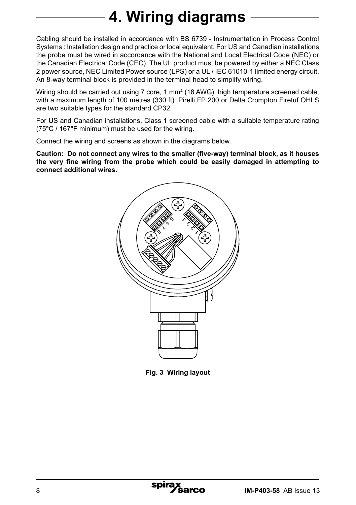# **4. Wiring diagrams**

Cabling should be installed in accordance with BS 6739 - Instrumentation in Process Control Systems : Installation design and practice or local equivalent. For US and Canadian installations the probe must be wired in accordance with the National and Local Electrical Code (NEC) or the Canadian Electrical Code (CEC). The UL product must be powered by either a NEC Class 2 power source, NEC Limited Power source (LPS) or a UL / IEC 61010-1 limited energy circuit. An 8-way terminal block is provided in the terminal head to simplify wiring.

Wiring should be carried out using 7 core, 1 mm**²** (18 AWG), high temperature screened cable, with a maximum length of 100 metres (330 ft). Pirelli FP 200 or Delta Crompton Firetuf OHLS are two suitable types for the standard CP32.

For US and Canadian installations, Class 1 screened cable with a suitable temperature rating (75**°**C / 167**°**F minimum) must be used for the wiring.

Connect the wiring and screens as shown in the diagrams below.

**Caution: Do not connect any wires to the smaller (five-way) terminal block, as it houses the very fine wiring from the probe which could be easily damaged in attempting to connect additional wires.**



**Fig. 3 Wiring layout**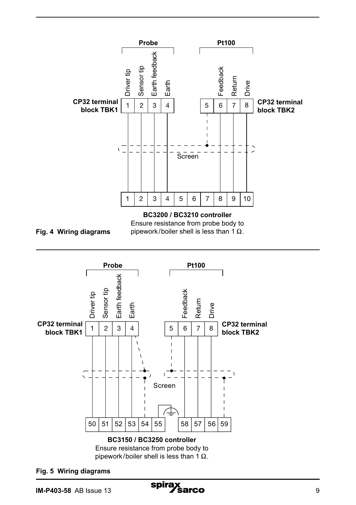



**Fig. 5 Wiring diagrams**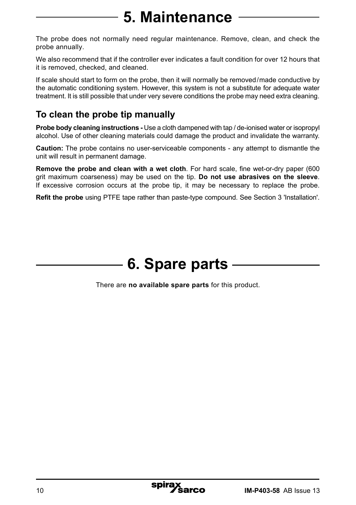# **5. Maintenance**

The probe does not normally need regular maintenance. Remove, clean, and check the probe annually.

We also recommend that if the controller ever indicates a fault condition for over 12 hours that it is removed, checked, and cleaned.

If scale should start to form on the probe, then it will normally be removed/made conductive by the automatic conditioning system. However, this system is not a substitute for adequate water treatment. It is still possible that under very severe conditions the probe may need extra cleaning.

# **To clean the probe tip manually**

**Probe body cleaning instructions -** Use a cloth dampened with tap / de-ionised water or isopropyl alcohol. Use of other cleaning materials could damage the product and invalidate the warranty.

**Caution:** The probe contains no user-serviceable components - any attempt to dismantle the unit will result in permanent damage.

**Remove the probe and clean with a wet cloth**. For hard scale, fine wet-or-dry paper (600 grit maximum coarseness) may be used on the tip. **Do not use abrasives on the sleeve**. If excessive corrosion occurs at the probe tip, it may be necessary to replace the probe.

**Refit the probe** using PTFE tape rather than paste-type compound. See Section 3 'Installation'.

# **6. Spare parts**

There are **no available spare parts** for this product.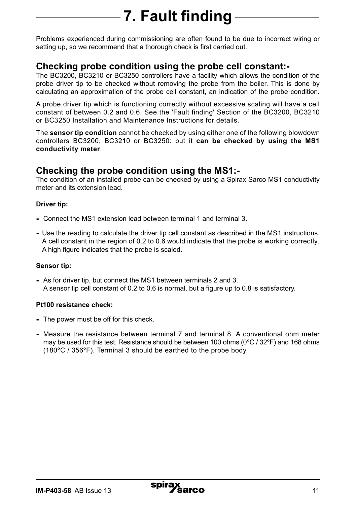# **7. Fault finding**

Problems experienced during commissioning are often found to be due to incorrect wiring or setting up, so we recommend that a thorough check is first carried out.

#### **Checking probe condition using the probe cell constant:-**

The BC3200, BC3210 or BC3250 controllers have a facility which allows the condition of the probe driver tip to be checked without removing the probe from the boiler. This is done by calculating an approximation of the probe cell constant, an indication of the probe condition.

A probe driver tip which is functioning correctly without excessive scaling will have a cell constant of between 0.2 and 0.6. See the 'Fault finding' Section of the BC3200, BC3210 or BC3250 Installation and Maintenance Instructions for details.

The **sensor tip condition** cannot be checked by using either one of the following blowdown controllers BC3200, BC3210 or BC3250: but it **can be checked by using the MS1 conductivity meter**.

#### **Checking the probe condition using the MS1:-**

The condition of an installed probe can be checked by using a Spirax Sarco MS1 conductivity meter and its extension lead.

#### **Driver tip:**

- **-** Connect the MS1 extension lead between terminal 1 and terminal 3.
- **-** Use the reading to calculate the driver tip cell constant as described in the MS1 instructions. A cell constant in the region of 0.2 to 0.6 would indicate that the probe is working correctly. A high figure indicates that the probe is scaled.

#### **Sensor tip:**

**-** As for driver tip, but connect the MS1 between terminals 2 and 3. A sensor tip cell constant of 0.2 to 0.6 is normal, but a figure up to 0.8 is satisfactory.

#### **Pt100 resistance check:**

- **-** The power must be off for this check.
- **-** Measure the resistance between terminal 7 and terminal 8. A conventional ohm meter may be used for this test. Resistance should be between 100 ohms (0**°**C / 32**°**F) and 168 ohms (180**°**C / 356**°**F). Terminal 3 should be earthed to the probe body.